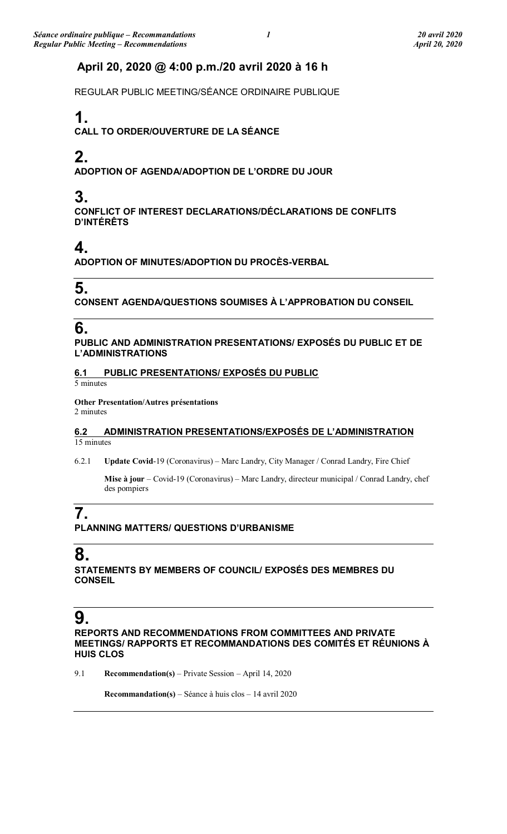### **April 20, 2020 @ 4:00 p.m./20 avril 2020 à 16 h**

REGULAR PUBLIC MEETING/SÉANCE ORDINAIRE PUBLIQUE

## **1.**

**CALL TO ORDER/OUVERTURE DE LA SÉANCE**

## **2.**

**ADOPTION OF AGENDA/ADOPTION DE L'ORDRE DU JOUR**

### **3.**

**CONFLICT OF INTEREST DECLARATIONS/DÉCLARATIONS DE CONFLITS D'INTÉRÊTS**

## **4.**

**ADOPTION OF MINUTES/ADOPTION DU PROCÈS-VERBAL**

### **5.**

**CONSENT AGENDA/QUESTIONS SOUMISES À L'APPROBATION DU CONSEIL**

### **6.**

**PUBLIC AND ADMINISTRATION PRESENTATIONS/ EXPOSÉS DU PUBLIC ET DE L'ADMINISTRATIONS**

### **6.1 PUBLIC PRESENTATIONS/ EXPOSÉS DU PUBLIC**

5 minutes

**Other Presentation/Autres présentations** 2 minutes

### **6.2 ADMINISTRATION PRESENTATIONS/EXPOSÉS DE L'ADMINISTRATION** 15 minutes

6.2.1 **Update Covid**-19 (Coronavirus) – Marc Landry, City Manager / Conrad Landry, Fire Chief

**Mise à jour** – Covid-19 (Coronavirus) – Marc Landry, directeur municipal / Conrad Landry, chef des pompiers

## **7.**

**PLANNING MATTERS/ QUESTIONS D'URBANISME**

### **8.**

**STATEMENTS BY MEMBERS OF COUNCIL/ EXPOSÉS DES MEMBRES DU CONSEIL**

# **9.**

**REPORTS AND RECOMMENDATIONS FROM COMMITTEES AND PRIVATE MEETINGS/ RAPPORTS ET RECOMMANDATIONS DES COMITÉS ET RÉUNIONS À HUIS CLOS**

9.1 **Recommendation(s)** – Private Session – April 14, 2020

**Recommandation(s)** – Séance à huis clos – 14 avril 2020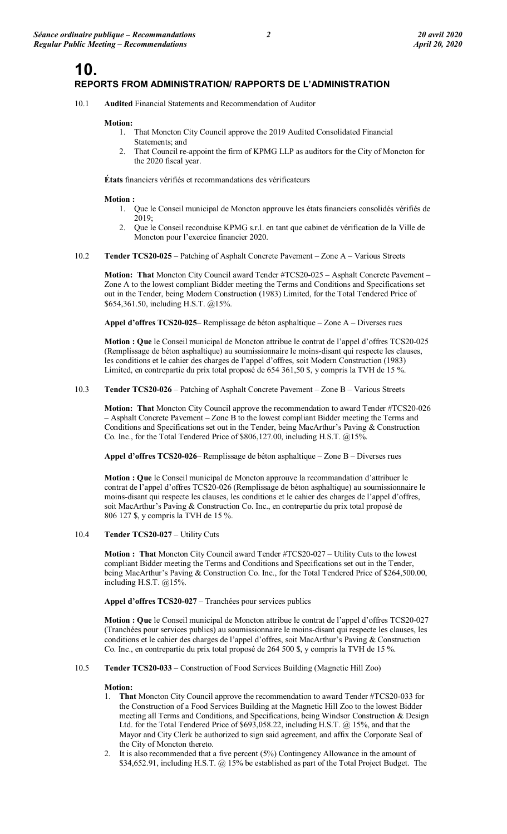### **10. REPORTS FROM ADMINISTRATION/ RAPPORTS DE L'ADMINISTRATION**

10.1 **Audited** Financial Statements and Recommendation of Auditor

#### **Motion:**

- 1. That Moncton City Council approve the 2019 Audited Consolidated Financial
	- Statements; and 2. That Council re-appoint the firm of KPMG LLP as auditors for the City of Moncton for the 2020 fiscal year.

**États** financiers vérifiés et recommandations des vérificateurs

#### **Motion :**

- 1. Que le Conseil municipal de Moncton approuve les états financiers consolidés vérifiés de 2019;
- 2. Que le Conseil reconduise KPMG s.r.l. en tant que cabinet de vérification de la Ville de Moncton pour l'exercice financier 2020.
- 10.2 **Tender TCS20-025** Patching of Asphalt Concrete Pavement Zone A Various Streets

**Motion: That** Moncton City Council award Tender #TCS20-025 – Asphalt Concrete Pavement – Zone A to the lowest compliant Bidder meeting the Terms and Conditions and Specifications set out in the Tender, being Modern Construction (1983) Limited, for the Total Tendered Price of \$654,361.50, including H.S.T. @15%.

**Appel d'offres TCS20-025**– Remplissage de béton asphaltique – Zone A – Diverses rues

**Motion : Que** le Conseil municipal de Moncton attribue le contrat de l'appel d'offres TCS20-025 (Remplissage de béton asphaltique) au soumissionnaire le moins-disant qui respecte les clauses, les conditions et le cahier des charges de l'appel d'offres, soit Modern Construction (1983) Limited, en contrepartie du prix total proposé de 654 361,50 \$, y compris la TVH de 15 %.

#### 10.3 **Tender TCS20-026** – Patching of Asphalt Concrete Pavement – Zone B – Various Streets

**Motion: That** Moncton City Council approve the recommendation to award Tender #TCS20-026 – Asphalt Concrete Pavement – Zone B to the lowest compliant Bidder meeting the Terms and Conditions and Specifications set out in the Tender, being MacArthur's Paving & Construction Co. Inc., for the Total Tendered Price of \$806,127.00, including H.S.T. @15%.

**Appel d'offres TCS20-026**– Remplissage de béton asphaltique – Zone B – Diverses rues

**Motion : Que** le Conseil municipal de Moncton approuve la recommandation d'attribuer le contrat de l'appel d'offres TCS20-026 (Remplissage de béton asphaltique) au soumissionnaire le moins-disant qui respecte les clauses, les conditions et le cahier des charges de l'appel d'offres, soit MacArthur's Paving & Construction Co. Inc., en contrepartie du prix total proposé de 806 127 \$, y compris la TVH de 15 %.

#### 10.4 **Tender TCS20-027** – Utility Cuts

**Motion : That** Moncton City Council award Tender #TCS20-027 – Utility Cuts to the lowest compliant Bidder meeting the Terms and Conditions and Specifications set out in the Tender, being MacArthur's Paving & Construction Co. Inc., for the Total Tendered Price of \$264,500.00, including H.S.T. @15%.

**Appel d'offres TCS20-027** – Tranchées pour services publics

**Motion : Que** le Conseil municipal de Moncton attribue le contrat de l'appel d'offres TCS20-027 (Tranchées pour services publics) au soumissionnaire le moins-disant qui respecte les clauses, les conditions et le cahier des charges de l'appel d'offres, soit MacArthur's Paving & Construction Co. Inc., en contrepartie du prix total proposé de 264 500 \$, y compris la TVH de 15 %.

#### 10.5 **Tender TCS20-033** – Construction of Food Services Building (Magnetic Hill Zoo)

#### **Motion:**

- 1. **That** Moncton City Council approve the recommendation to award Tender #TCS20-033 for the Construction of a Food Services Building at the Magnetic Hill Zoo to the lowest Bidder meeting all Terms and Conditions, and Specifications, being Windsor Construction & Design Ltd. for the Total Tendered Price of \$693,058.22, including H.S.T. @ 15%, and that the Mayor and City Clerk be authorized to sign said agreement, and affix the Corporate Seal of the City of Moncton thereto.
- 2. It is also recommended that a five percent (5%) Contingency Allowance in the amount of \$34,652.91, including H.S.T. @ 15% be established as part of the Total Project Budget. The